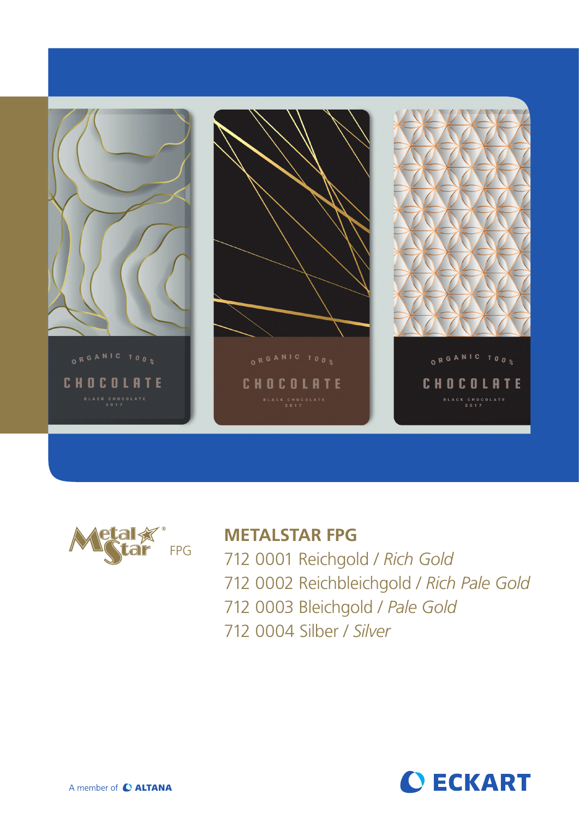



# **METALSTAR FPG**

712 0001 Reichgold / *Rich Gold* 712 0002 Reichbleichgold / *Rich Pale Gold* 712 0003 Bleichgold / *Pale Gold*  712 0004 Silber / *Silver*

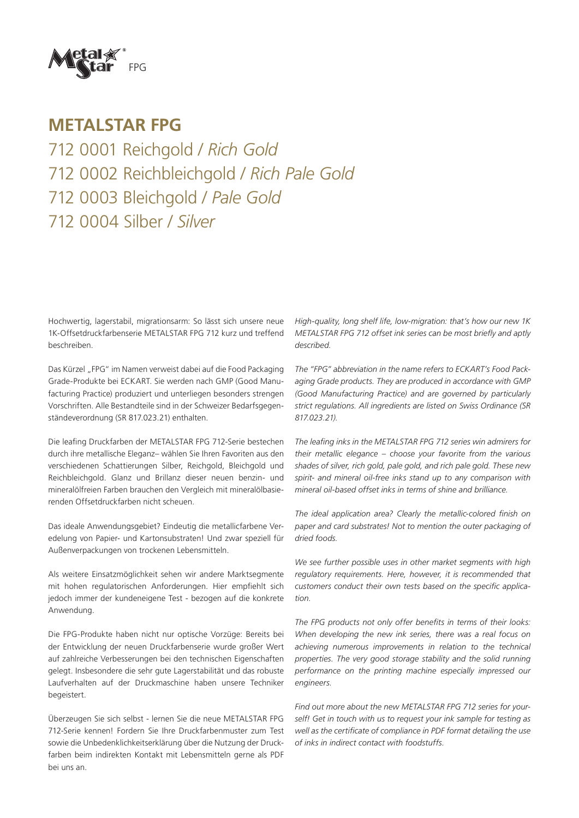

### **METALSTAR FPG**

712 0001 Reichgold / *Rich Gold* 712 0002 Reichbleichgold / *Rich Pale Gold* 712 0003 Bleichgold / *Pale Gold*  712 0004 Silber / *Silver*

Hochwertig, lagerstabil, migrationsarm: So lässt sich unsere neue 1K-Offsetdruckfarbenserie METALSTAR FPG 712 kurz und treffend beschreiben.

Das Kürzel "FPG" im Namen verweist dabei auf die Food Packaging Grade-Produkte bei ECKART. Sie werden nach GMP (Good Manufacturing Practice) produziert und unterliegen besonders strengen Vorschriften. Alle Bestandteile sind in der Schweizer Bedarfsgegenständeverordnung (SR 817.023.21) enthalten.

Die leafing Druckfarben der METALSTAR FPG 712-Serie bestechen durch ihre metallische Eleganz– wählen Sie Ihren Favoriten aus den verschiedenen Schattierungen Silber, Reichgold, Bleichgold und Reichbleichgold. Glanz und Brillanz dieser neuen benzin- und mineralölfreien Farben brauchen den Vergleich mit mineralölbasierenden Offsetdruckfarben nicht scheuen.

Das ideale Anwendungsgebiet? Eindeutig die metallicfarbene Veredelung von Papier- und Kartonsubstraten! Und zwar speziell für Außenverpackungen von trockenen Lebensmitteln.

Als weitere Einsatzmöglichkeit sehen wir andere Marktsegmente mit hohen regulatorischen Anforderungen. Hier empfiehlt sich jedoch immer der kundeneigene Test - bezogen auf die konkrete Anwendung.

Die FPG-Produkte haben nicht nur optische Vorzüge: Bereits bei der Entwicklung der neuen Druckfarbenserie wurde großer Wert auf zahlreiche Verbesserungen bei den technischen Eigenschaften gelegt. Insbesondere die sehr gute Lagerstabilität und das robuste Laufverhalten auf der Druckmaschine haben unsere Techniker begeistert.

Überzeugen Sie sich selbst - lernen Sie die neue METALSTAR FPG 712-Serie kennen! Fordern Sie Ihre Druckfarbenmuster zum Test sowie die Unbedenklichkeitserklärung über die Nutzung der Druckfarben beim indirekten Kontakt mit Lebensmitteln gerne als PDF bei uns an.

*High-quality, long shelf life, low-migration: that's how our new 1K METALSTAR FPG 712 offset ink series can be most briefly and aptly described.*

*The "FPG" abbreviation in the name refers to ECKART's Food Packaging Grade products. They are produced in accordance with GMP (Good Manufacturing Practice) and are governed by particularly strict regulations. All ingredients are listed on Swiss Ordinance (SR 817.023.21).*

*The leafing inks in the METALSTAR FPG 712 series win admirers for their metallic elegance – choose your favorite from the various shades of silver, rich gold, pale gold, and rich pale gold. These new spirit- and mineral oil-free inks stand up to any comparison with mineral oil-based offset inks in terms of shine and brilliance.*

*The ideal application area? Clearly the metallic-colored finish on paper and card substrates! Not to mention the outer packaging of dried foods.*

*We see further possible uses in other market segments with high regulatory requirements. Here, however, it is recommended that customers conduct their own tests based on the specific application.*

*The FPG products not only offer benefits in terms of their looks: When developing the new ink series, there was a real focus on achieving numerous improvements in relation to the technical properties. The very good storage stability and the solid running performance on the printing machine especially impressed our engineers.* 

*Find out more about the new METALSTAR FPG 712 series for yourself! Get in touch with us to request your ink sample for testing as well as the certificate of compliance in PDF format detailing the use of inks in indirect contact with foodstuffs.*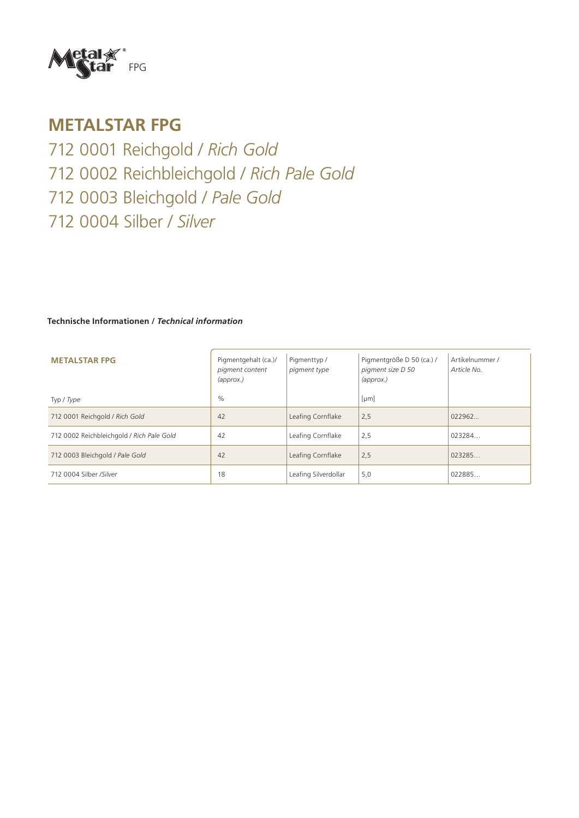

## **METALSTAR FPG**

712 0001 Reichgold / *Rich Gold* 712 0002 Reichbleichgold / *Rich Pale Gold* 712 0003 Bleichgold / *Pale Gold*  712 0004 Silber / *Silver*

#### **Technische Informationen /** *Technical information*

| <b>METALSTAR FPG</b>                      | Pigmentgehalt (ca.)/<br>pigment content<br>$\langle$ approx. $\rangle$ | Pigmenttyp /<br>pigment type | Pigmentgröße D 50 (ca.) /<br>pigment size D 50<br>$\langle$ approx. $\rangle$ | Artikelnummer /<br>Article No. |
|-------------------------------------------|------------------------------------------------------------------------|------------------------------|-------------------------------------------------------------------------------|--------------------------------|
| Typ / Type                                | $\%$                                                                   |                              | [µm]                                                                          |                                |
| 712 0001 Reichgold / Rich Gold            | 42                                                                     | Leafing Cornflake            | 2,5                                                                           | 022962                         |
| 712 0002 Reichbleichgold / Rich Pale Gold | 42                                                                     | Leafing Cornflake            | 2,5                                                                           | 023284.                        |
| 712 0003 Bleichgold / Pale Gold           | 42                                                                     | Leafing Cornflake            | 2,5                                                                           | 023285                         |
| 712 0004 Silber /Silver                   | 18                                                                     | Leafing Silverdollar         | 5,0                                                                           | 022885                         |